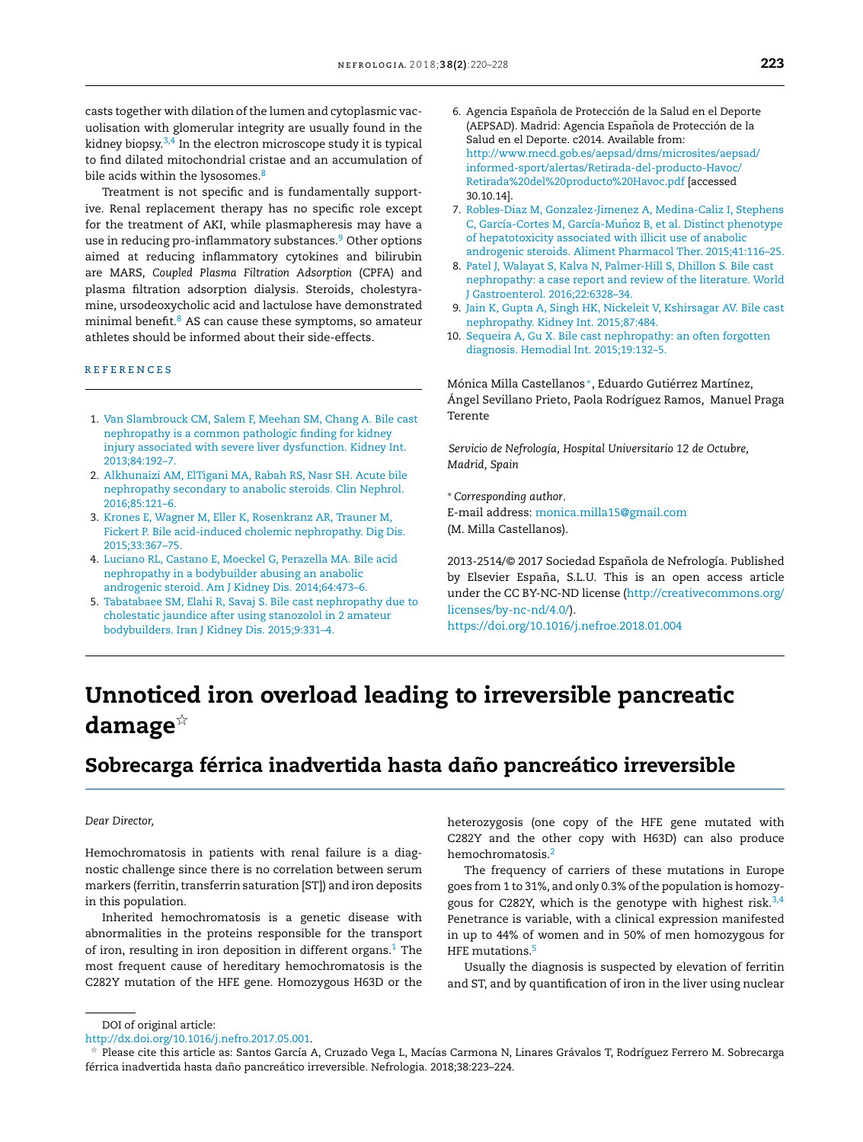casts together with dilation of the lumen and cytoplasmic vacuolisation with glomerular integrity are usually found in the kidney biopsy.3,4 In the electron microscope study it is typical to [find](http://refhub.elsevier.com/S2013-2514(17)30174-8/sbref0055) [dilated](http://refhub.elsevier.com/S2013-2514(17)30174-8/sbref0055) [mitochondria](http://refhub.elsevier.com/S2013-2514(17)30174-8/sbref0055)l [cristae](http://refhub.elsevier.com/S2013-2514(17)30174-8/sbref0055) [and](http://refhub.elsevier.com/S2013-2514(17)30174-8/sbref0055) [an](http://refhub.elsevier.com/S2013-2514(17)30174-8/sbref0055) a[ccumulation](http://refhub.elsevier.com/S2013-2514(17)30174-8/sbref0055) [o](http://refhub.elsevier.com/S2013-2514(17)30174-8/sbref0055)f bile [acids](http://refhub.elsevier.com/S2013-2514(17)30174-8/sbref0055) [with](http://refhub.elsevier.com/S2013-2514(17)30174-8/sbref0055)in [the](http://refhub.elsevier.com/S2013-2514(17)30174-8/sbref0055) [lysosomes.](http://refhub.elsevier.com/S2013-2514(17)30174-8/sbref0055) $8$ 

[Treatment](http://refhub.elsevier.com/S2013-2514(17)30174-8/sbref0060) [i](http://refhub.elsevier.com/S2013-2514(17)30174-8/sbref0060)s [not](http://refhub.elsevier.com/S2013-2514(17)30174-8/sbref0060) sp[ecific](http://refhub.elsevier.com/S2013-2514(17)30174-8/sbref0060) [an](http://refhub.elsevier.com/S2013-2514(17)30174-8/sbref0060)d is [fundamentally](http://refhub.elsevier.com/S2013-2514(17)30174-8/sbref0060) [su](http://refhub.elsevier.com/S2013-2514(17)30174-8/sbref0060)pportive. [Renal](http://refhub.elsevier.com/S2013-2514(17)30174-8/sbref0060) [replacement](http://refhub.elsevier.com/S2013-2514(17)30174-8/sbref0060) [therapy](http://refhub.elsevier.com/S2013-2514(17)30174-8/sbref0060) [has](http://refhub.elsevier.com/S2013-2514(17)30174-8/sbref0060) no [specific](http://refhub.elsevier.com/S2013-2514(17)30174-8/sbref0060) rol[e](http://refhub.elsevier.com/S2013-2514(17)30174-8/sbref0060) [exce](http://refhub.elsevier.com/S2013-2514(17)30174-8/sbref0060)pt for [the](http://refhub.elsevier.com/S2013-2514(17)30174-8/sbref0060) [treatment](http://refhub.elsevier.com/S2013-2514(17)30174-8/sbref0060) [of](http://refhub.elsevier.com/S2013-2514(17)30174-8/sbref0060) AKI, [while](http://refhub.elsevier.com/S2013-2514(17)30174-8/sbref0060) [plasmapheresis](http://refhub.elsevier.com/S2013-2514(17)30174-8/sbref0060) [may](http://refhub.elsevier.com/S2013-2514(17)30174-8/sbref0060) [have](http://refhub.elsevier.com/S2013-2514(17)30174-8/sbref0060) a use [in](http://refhub.elsevier.com/S2013-2514(17)30174-8/sbref0060) [reducing](http://refhub.elsevier.com/S2013-2514(17)30174-8/sbref0060) [pro-inflammat](http://refhub.elsevier.com/S2013-2514(17)30174-8/sbref0060)ory substances.<sup>9</sup> Other options ai[med](http://refhub.elsevier.com/S2013-2514(17)30174-8/sbref0065) [at](http://refhub.elsevier.com/S2013-2514(17)30174-8/sbref0065) [reducin](http://refhub.elsevier.com/S2013-2514(17)30174-8/sbref0065)g [inflammatory](http://refhub.elsevier.com/S2013-2514(17)30174-8/sbref0065) cytoki[nes](http://refhub.elsevier.com/S2013-2514(17)30174-8/sbref0065) a[nd](http://refhub.elsevier.com/S2013-2514(17)30174-8/sbref0065) [bilirubin](http://refhub.elsevier.com/S2013-2514(17)30174-8/sbref0065) are [MARS,](http://refhub.elsevier.com/S2013-2514(17)30174-8/sbref0065) *[Coupled](http://refhub.elsevier.com/S2013-2514(17)30174-8/sbref0065) P[lasm](http://refhub.elsevier.com/S2013-2514(17)30174-8/sbref0065)a [Filtration](http://refhub.elsevier.com/S2013-2514(17)30174-8/sbref0065) [Adsorption](http://refhub.elsevier.com/S2013-2514(17)30174-8/sbref0065)* (CP[FA\)](http://refhub.elsevier.com/S2013-2514(17)30174-8/sbref0065) and pla[sma](http://refhub.elsevier.com/S2013-2514(17)30174-8/sbref0070) filtr[atio](http://refhub.elsevier.com/S2013-2514(17)30174-8/sbref0070)n [adsorption](http://refhub.elsevier.com/S2013-2514(17)30174-8/sbref0070) [dialysis.](http://refhub.elsevier.com/S2013-2514(17)30174-8/sbref0070) [Steroids,](http://refhub.elsevier.com/S2013-2514(17)30174-8/sbref0070) [cholesty](http://refhub.elsevier.com/S2013-2514(17)30174-8/sbref0070)rami[ne,](http://refhub.elsevier.com/S2013-2514(17)30174-8/sbref0070) u[rsodeoxycholic](http://refhub.elsevier.com/S2013-2514(17)30174-8/sbref0070) a[cid](http://refhub.elsevier.com/S2013-2514(17)30174-8/sbref0070) [and](http://refhub.elsevier.com/S2013-2514(17)30174-8/sbref0070) [lactulose](http://refhub.elsevier.com/S2013-2514(17)30174-8/sbref0070) have [demonstra](http://refhub.elsevier.com/S2013-2514(17)30174-8/sbref0070)ted mi[nimal](http://refhub.elsevier.com/S2013-2514(17)30174-8/sbref0070) [benefit.](http://refhub.elsevier.com/S2013-2514(17)30174-8/sbref0070)<sup>8</sup> AS [ca](http://refhub.elsevier.com/S2013-2514(17)30174-8/sbref0075)[n](http://refhub.elsevier.com/S2013-2514(17)30174-8/sbref0070) [ca](http://refhub.elsevier.com/S2013-2514(17)30174-8/sbref0075)use [t](http://refhub.elsevier.com/S2013-2514(17)30174-8/sbref0075)hese [symptoms,](http://refhub.elsevier.com/S2013-2514(17)30174-8/sbref0075) [so](http://refhub.elsevier.com/S2013-2514(17)30174-8/sbref0075) amateur ath[letes](http://refhub.elsevier.com/S2013-2514(17)30174-8/sbref0075) [should](http://refhub.elsevier.com/S2013-2514(17)30174-8/sbref0075) [be](http://refhub.elsevier.com/S2013-2514(17)30174-8/sbref0075) i[nformed](http://refhub.elsevier.com/S2013-2514(17)30174-8/sbref0075) [about](http://refhub.elsevier.com/S2013-2514(17)30174-8/sbref0075) t[he](http://refhub.elsevier.com/S2013-2514(17)30174-8/sbref0075)ir [side-effects.](http://refhub.elsevier.com/S2013-2514(17)30174-8/sbref0075)

#### **REFERENCES**

- 1. [Van](http://refhub.elsevier.com/S2013-2514(17)30174-8/sbref0055) [Slambrouck](http://refhub.elsevier.com/S2013-2514(17)30174-8/sbref0055) [CM,](http://refhub.elsevier.com/S2013-2514(17)30174-8/sbref0055) [Salem](http://refhub.elsevier.com/S2013-2514(17)30174-8/sbref0055) [F,](http://refhub.elsevier.com/S2013-2514(17)30174-8/sbref0055) [Meehan](http://refhub.elsevier.com/S2013-2514(17)30174-8/sbref0055) [SM,](http://refhub.elsevier.com/S2013-2514(17)30174-8/sbref0055) [Chang](http://refhub.elsevier.com/S2013-2514(17)30174-8/sbref0055) [A.](http://refhub.elsevier.com/S2013-2514(17)30174-8/sbref0055) [Bile](http://refhub.elsevier.com/S2013-2514(17)30174-8/sbref0055) [cast](http://refhub.elsevier.com/S2013-2514(17)30174-8/sbref0055) [nephropathy](http://refhub.elsevier.com/S2013-2514(17)30174-8/sbref0055) [is](http://refhub.elsevier.com/S2013-2514(17)30174-8/sbref0055) [a](http://refhub.elsevier.com/S2013-2514(17)30174-8/sbref0055) [common](http://refhub.elsevier.com/S2013-2514(17)30174-8/sbref0055) [pathologic](http://refhub.elsevier.com/S2013-2514(17)30174-8/sbref0055) [finding](http://refhub.elsevier.com/S2013-2514(17)30174-8/sbref0055) [for](http://refhub.elsevier.com/S2013-2514(17)30174-8/sbref0055) [kidney](http://refhub.elsevier.com/S2013-2514(17)30174-8/sbref0055) [injury](http://refhub.elsevier.com/S2013-2514(17)30174-8/sbref0055) [associated](http://refhub.elsevier.com/S2013-2514(17)30174-8/sbref0055) [with](http://refhub.elsevier.com/S2013-2514(17)30174-8/sbref0055) [severe](http://refhub.elsevier.com/S2013-2514(17)30174-8/sbref0055) [liver](http://refhub.elsevier.com/S2013-2514(17)30174-8/sbref0055) [dysfunction.](http://refhub.elsevier.com/S2013-2514(17)30174-8/sbref0055) [Kidney](http://refhub.elsevier.com/S2013-2514(17)30174-8/sbref0055) [Int.](http://refhub.elsevier.com/S2013-2514(17)30174-8/sbref0055) [2013;84:192](http://refhub.elsevier.com/S2013-2514(17)30174-8/sbref0055)[–](dx.doi.org/10.1155/2016/4581094)[7.](http://refhub.elsevier.com/S2013-2514(17)30174-8/sbref0055)
- 2. [Alkhunaizi](http://refhub.elsevier.com/S2013-2514(17)30174-8/sbref0060) [AM,](http://refhub.elsevier.com/S2013-2514(17)30174-8/sbref0060) [ElTigani](http://refhub.elsevier.com/S2013-2514(17)30174-8/sbref0060) [MA,](http://refhub.elsevier.com/S2013-2514(17)30174-8/sbref0060) [Rabah](http://refhub.elsevier.com/S2013-2514(17)30174-8/sbref0060) [RS,](http://refhub.elsevier.com/S2013-2514(17)30174-8/sbref0060) [Nasr](http://refhub.elsevier.com/S2013-2514(17)30174-8/sbref0060) [SH.](http://refhub.elsevier.com/S2013-2514(17)30174-8/sbref0060) [Acute](http://refhub.elsevier.com/S2013-2514(17)30174-8/sbref0060) [bile](http://refhub.elsevier.com/S2013-2514(17)30174-8/sbref0060) [nephropathy](http://refhub.elsevier.com/S2013-2514(17)30174-8/sbref0060) [secondary](http://refhub.elsevier.com/S2013-2514(17)30174-8/sbref0060) [to](http://refhub.elsevier.com/S2013-2514(17)30174-8/sbref0060) [anabolic](http://refhub.elsevier.com/S2013-2514(17)30174-8/sbref0060) [steroids.](http://refhub.elsevier.com/S2013-2514(17)30174-8/sbref0060) [Clin](http://refhub.elsevier.com/S2013-2514(17)30174-8/sbref0060) [Nephrol.](http://refhub.elsevier.com/S2013-2514(17)30174-8/sbref0060) [2016;85:121](http://refhub.elsevier.com/S2013-2514(17)30174-8/sbref0060)[–](http://refhub.elsevier.com/S2013-2514(17)30174-8/sbref0085)[6](http://refhub.elsevier.com/S2013-2514(17)30174-8/sbref0060)[.](http://refhub.elsevier.com/S2013-2514(17)30174-8/sbref0085)
- 3. [Krones](http://refhub.elsevier.com/S2013-2514(17)30174-8/sbref0065) [E,](http://refhub.elsevier.com/S2013-2514(17)30174-8/sbref0065) [Wagner](http://refhub.elsevier.com/S2013-2514(17)30174-8/sbref0065) [M,](http://refhub.elsevier.com/S2013-2514(17)30174-8/sbref0065) [Eller](http://refhub.elsevier.com/S2013-2514(17)30174-8/sbref0065) [K,](http://refhub.elsevier.com/S2013-2514(17)30174-8/sbref0065) [Rosenkranz](http://refhub.elsevier.com/S2013-2514(17)30174-8/sbref0065) [AR,](http://refhub.elsevier.com/S2013-2514(17)30174-8/sbref0065) [Trauner](http://refhub.elsevier.com/S2013-2514(17)30174-8/sbref0065) [M,](http://refhub.elsevier.com/S2013-2514(17)30174-8/sbref0065) [Fickert](http://refhub.elsevier.com/S2013-2514(17)30174-8/sbref0065) [P.](http://refhub.elsevier.com/S2013-2514(17)30174-8/sbref0065) [Bile](http://refhub.elsevier.com/S2013-2514(17)30174-8/sbref0065) [acid-induced](http://refhub.elsevier.com/S2013-2514(17)30174-8/sbref0065) [cholemic](http://refhub.elsevier.com/S2013-2514(17)30174-8/sbref0065) [nephropathy.](http://refhub.elsevier.com/S2013-2514(17)30174-8/sbref0065) [Dig](http://refhub.elsevier.com/S2013-2514(17)30174-8/sbref0065) [Dis.](http://refhub.elsevier.com/S2013-2514(17)30174-8/sbref0065) [2015;33:367–75.](http://refhub.elsevier.com/S2013-2514(17)30174-8/sbref0065)
- 4. [Luciano](http://refhub.elsevier.com/S2013-2514(17)30174-8/sbref0070) [RL,](http://refhub.elsevier.com/S2013-2514(17)30174-8/sbref0070) [Castano](http://refhub.elsevier.com/S2013-2514(17)30174-8/sbref0070) [E,](http://refhub.elsevier.com/S2013-2514(17)30174-8/sbref0070) [Moeckel](http://refhub.elsevier.com/S2013-2514(17)30174-8/sbref0070) [G,](http://refhub.elsevier.com/S2013-2514(17)30174-8/sbref0070) [Perazella](http://refhub.elsevier.com/S2013-2514(17)30174-8/sbref0070) [MA.](http://refhub.elsevier.com/S2013-2514(17)30174-8/sbref0070) [Bile](http://refhub.elsevier.com/S2013-2514(17)30174-8/sbref0070) [acid](http://refhub.elsevier.com/S2013-2514(17)30174-8/sbref0070) [nephropathy](http://refhub.elsevier.com/S2013-2514(17)30174-8/sbref0070) [in](http://refhub.elsevier.com/S2013-2514(17)30174-8/sbref0070) [a](http://refhub.elsevier.com/S2013-2514(17)30174-8/sbref0070) [bodybuilder](http://refhub.elsevier.com/S2013-2514(17)30174-8/sbref0070) [abusing](http://refhub.elsevier.com/S2013-2514(17)30174-8/sbref0070) [an](http://refhub.elsevier.com/S2013-2514(17)30174-8/sbref0070) [anabolic](http://refhub.elsevier.com/S2013-2514(17)30174-8/sbref0070) [androgenic](http://refhub.elsevier.com/S2013-2514(17)30174-8/sbref0070) [steroid.](http://refhub.elsevier.com/S2013-2514(17)30174-8/sbref0070) [Am](http://refhub.elsevier.com/S2013-2514(17)30174-8/sbref0070) [J](http://refhub.elsevier.com/S2013-2514(17)30174-8/sbref0070) [Kidney](http://refhub.elsevier.com/S2013-2514(17)30174-8/sbref0070) [Dis.](http://refhub.elsevier.com/S2013-2514(17)30174-8/sbref0070) [2014;64:473–6.](http://refhub.elsevier.com/S2013-2514(17)30174-8/sbref0070)
- 5. [Tabatabaee](http://refhub.elsevier.com/S2013-2514(17)30174-8/sbref0075) [SM,](http://refhub.elsevier.com/S2013-2514(17)30174-8/sbref0075) [Elahi](http://refhub.elsevier.com/S2013-2514(17)30174-8/sbref0075) [R,](http://refhub.elsevier.com/S2013-2514(17)30174-8/sbref0075) [Savaj](http://refhub.elsevier.com/S2013-2514(17)30174-8/sbref0075) [S.](http://refhub.elsevier.com/S2013-2514(17)30174-8/sbref0075) [Bile](http://refhub.elsevier.com/S2013-2514(17)30174-8/sbref0075) [cast](http://refhub.elsevier.com/S2013-2514(17)30174-8/sbref0075) [nephropathy](http://refhub.elsevier.com/S2013-2514(17)30174-8/sbref0075) [due](http://refhub.elsevier.com/S2013-2514(17)30174-8/sbref0075) [to](http://refhub.elsevier.com/S2013-2514(17)30174-8/sbref0075) [cholestatic](http://refhub.elsevier.com/S2013-2514(17)30174-8/sbref0075) [jaundice](http://refhub.elsevier.com/S2013-2514(17)30174-8/sbref0075) [after](http://refhub.elsevier.com/S2013-2514(17)30174-8/sbref0075) [using](http://refhub.elsevier.com/S2013-2514(17)30174-8/sbref0075) [stanozolol](http://refhub.elsevier.com/S2013-2514(17)30174-8/sbref0075) [in](http://refhub.elsevier.com/S2013-2514(17)30174-8/sbref0075) [2](http://refhub.elsevier.com/S2013-2514(17)30174-8/sbref0075) [amateur](http://refhub.elsevier.com/S2013-2514(17)30174-8/sbref0075) [bodybuilders.](http://refhub.elsevier.com/S2013-2514(17)30174-8/sbref0075) [Iran](http://refhub.elsevier.com/S2013-2514(17)30174-8/sbref0075) [J](http://refhub.elsevier.com/S2013-2514(17)30174-8/sbref0075) [Kidney](http://refhub.elsevier.com/S2013-2514(17)30174-8/sbref0075) [Dis.](http://refhub.elsevier.com/S2013-2514(17)30174-8/sbref0075) [2015;9:331–4.](http://refhub.elsevier.com/S2013-2514(17)30174-8/sbref0075)
- 6. [Agencia](http://refhub.elsevier.com/S2013-2514(17)30174-8/sbref0090) Española [de](http://refhub.elsevier.com/S2013-2514(17)30174-8/sbref0090) Pr[otección](http://refhub.elsevier.com/S2013-2514(17)30174-8/sbref0090) de la [Salud](http://refhub.elsevier.com/S2013-2514(17)30174-8/sbref0090) en [el](http://refhub.elsevier.com/S2013-2514(17)30174-8/sbref0090) [Deporte](http://refhub.elsevier.com/S2013-2514(17)30174-8/sbref0090) [\(AEPSAD](http://refhub.elsevier.com/S2013-2514(17)30174-8/sbref0090)). [Madrid:](http://refhub.elsevier.com/S2013-2514(17)30174-8/sbref0090) [Agencia](http://refhub.elsevier.com/S2013-2514(17)30174-8/sbref0090) Española [de](http://refhub.elsevier.com/S2013-2514(17)30174-8/sbref0090) [Protección](http://refhub.elsevier.com/S2013-2514(17)30174-8/sbref0090) de [la](http://refhub.elsevier.com/S2013-2514(17)30174-8/sbref0090) [Salud](http://refhub.elsevier.com/S2013-2514(17)30174-8/sbref0090) [en](http://refhub.elsevier.com/S2013-2514(17)30174-8/sbref0090) el [Deporte](http://refhub.elsevier.com/S2013-2514(17)30174-8/sbref0090). [c2014.](http://refhub.elsevier.com/S2013-2514(17)30174-8/sbref0090) Av[ailab](http://refhub.elsevier.com/S2013-2514(17)30174-8/sbref0090)le from: [h](http://www.mecd.gob.es/aepsad/dms/microsites/aepsad/informed-sport/alertas/Retirada-del-producto-Havoc/Retirada del producto Havoc.pdf)[ttp://w](http://refhub.elsevier.com/S2013-2514(17)30174-8/sbref0095)[ww](http://www.mecd.gob.es/aepsad/dms/microsites/aepsad/informed-sport/alertas/Retirada-del-producto-Havoc/Retirada del producto Havoc.pdf)[.m](http://refhub.elsevier.com/S2013-2514(17)30174-8/sbref0095)[ec](http://www.mecd.gob.es/aepsad/dms/microsites/aepsad/informed-sport/alertas/Retirada-del-producto-Havoc/Retirada del producto Havoc.pdf)[d.go](http://refhub.elsevier.com/S2013-2514(17)30174-8/sbref0095)[b](http://www.mecd.gob.es/aepsad/dms/microsites/aepsad/informed-sport/alertas/Retirada-del-producto-Havoc/Retirada del producto Havoc.pdf)[.es](http://refhub.elsevier.com/S2013-2514(17)30174-8/sbref0095)[/ae](http://www.mecd.gob.es/aepsad/dms/microsites/aepsad/informed-sport/alertas/Retirada-del-producto-Havoc/Retirada del producto Havoc.pdf)[p](http://refhub.elsevier.com/S2013-2514(17)30174-8/sbref0095)[s](http://www.mecd.gob.es/aepsad/dms/microsites/aepsad/informed-sport/alertas/Retirada-del-producto-Havoc/Retirada del producto Havoc.pdf)[ad](http://refhub.elsevier.com/S2013-2514(17)30174-8/sbref0095)[/d](http://www.mecd.gob.es/aepsad/dms/microsites/aepsad/informed-sport/alertas/Retirada-del-producto-Havoc/Retirada del producto Havoc.pdf)[m](http://refhub.elsevier.com/S2013-2514(17)30174-8/sbref0095)[s/](http://www.mecd.gob.es/aepsad/dms/microsites/aepsad/informed-sport/alertas/Retirada-del-producto-Havoc/Retirada del producto Havoc.pdf)[mi](http://refhub.elsevier.com/S2013-2514(17)30174-8/sbref0095)[c](http://www.mecd.gob.es/aepsad/dms/microsites/aepsad/informed-sport/alertas/Retirada-del-producto-Havoc/Retirada del producto Havoc.pdf)[rosi](http://refhub.elsevier.com/S2013-2514(17)30174-8/sbref0095)[t](http://www.mecd.gob.es/aepsad/dms/microsites/aepsad/informed-sport/alertas/Retirada-del-producto-Havoc/Retirada del producto Havoc.pdf)[es/a](http://refhub.elsevier.com/S2013-2514(17)30174-8/sbref0095)[e](http://www.mecd.gob.es/aepsad/dms/microsites/aepsad/informed-sport/alertas/Retirada-del-producto-Havoc/Retirada del producto Havoc.pdf)[psad/](http://refhub.elsevier.com/S2013-2514(17)30174-8/sbref0095) [info](http://refhub.elsevier.com/S2013-2514(17)30174-8/sbref0095)[rme](http://www.mecd.gob.es/aepsad/dms/microsites/aepsad/informed-sport/alertas/Retirada-del-producto-Havoc/Retirada del producto Havoc.pdf)[d-s](http://refhub.elsevier.com/S2013-2514(17)30174-8/sbref0095)[po](http://www.mecd.gob.es/aepsad/dms/microsites/aepsad/informed-sport/alertas/Retirada-del-producto-Havoc/Retirada del producto Havoc.pdf)[r](http://refhub.elsevier.com/S2013-2514(17)30174-8/sbref0095)[t](http://www.mecd.gob.es/aepsad/dms/microsites/aepsad/informed-sport/alertas/Retirada-del-producto-Havoc/Retirada del producto Havoc.pdf)[/](http://refhub.elsevier.com/S2013-2514(17)30174-8/sbref0095)[alert](http://www.mecd.gob.es/aepsad/dms/microsites/aepsad/informed-sport/alertas/Retirada-del-producto-Havoc/Retirada del producto Havoc.pdf)[as/Retir](http://refhub.elsevier.com/S2013-2514(17)30174-8/sbref0095)[ada-](http://www.mecd.gob.es/aepsad/dms/microsites/aepsad/informed-sport/alertas/Retirada-del-producto-Havoc/Retirada del producto Havoc.pdf)[del-produ](http://refhub.elsevier.com/S2013-2514(17)30174-8/sbref0095)[cto-H](http://www.mecd.gob.es/aepsad/dms/microsites/aepsad/informed-sport/alertas/Retirada-del-producto-Havoc/Retirada del producto Havoc.pdf)[a](http://refhub.elsevier.com/S2013-2514(17)30174-8/sbref0095)[voc/](http://www.mecd.gob.es/aepsad/dms/microsites/aepsad/informed-sport/alertas/Retirada-del-producto-Havoc/Retirada del producto Havoc.pdf) [Retirada%2](http://refhub.elsevier.com/S2013-2514(17)30174-8/sbref0095)[0](http://www.mecd.gob.es/aepsad/dms/microsites/aepsad/informed-sport/alertas/Retirada-del-producto-Havoc/Retirada del producto Havoc.pdf)[del%20prod](http://refhub.elsevier.com/S2013-2514(17)30174-8/sbref0095)[uc](http://www.mecd.gob.es/aepsad/dms/microsites/aepsad/informed-sport/alertas/Retirada-del-producto-Havoc/Retirada del producto Havoc.pdf)[to%](http://refhub.elsevier.com/S2013-2514(17)30174-8/sbref0095)[20Havoc.p](http://www.mecd.gob.es/aepsad/dms/microsites/aepsad/informed-sport/alertas/Retirada-del-producto-Havoc/Retirada del producto Havoc.pdf)[df](http://refhub.elsevier.com/S2013-2514(17)30174-8/sbref0095) [ac[cessed](http://refhub.elsevier.com/S2013-2514(17)30174-8/sbref0095) [30.1](http://refhub.elsevier.com/S2013-2514(17)30174-8/sbref0095)[0](http://www.revistanefrologia.com)[.14\].](http://refhub.elsevier.com/S2013-2514(17)30174-8/sbref0095)
- 7. [Roble](http://refhub.elsevier.com/S2013-2514(17)30174-8/sbref0100)[s-Diaz](http://refhub.elsevier.com/S2013-2514(17)30174-8/sbref0085) [M](http://refhub.elsevier.com/S2013-2514(17)30174-8/sbref0085)[,](http://refhub.elsevier.com/S2013-2514(17)30174-8/sbref0100) [Gonzale](http://refhub.elsevier.com/S2013-2514(17)30174-8/sbref0085)[z-J](http://refhub.elsevier.com/S2013-2514(17)30174-8/sbref0100)[imene](http://refhub.elsevier.com/S2013-2514(17)30174-8/sbref0085)[z](http://refhub.elsevier.com/S2013-2514(17)30174-8/sbref0100) [A,](http://refhub.elsevier.com/S2013-2514(17)30174-8/sbref0085) [Medi](http://refhub.elsevier.com/S2013-2514(17)30174-8/sbref0100)[na](http://refhub.elsevier.com/S2013-2514(17)30174-8/sbref0085)[-](http://refhub.elsevier.com/S2013-2514(17)30174-8/sbref0100)[C](http://refhub.elsevier.com/S2013-2514(17)30174-8/sbref0085)[aliz](http://refhub.elsevier.com/S2013-2514(17)30174-8/sbref0100) [I,](http://refhub.elsevier.com/S2013-2514(17)30174-8/sbref0085) [St](http://refhub.elsevier.com/S2013-2514(17)30174-8/sbref0100)[ephens](http://refhub.elsevier.com/S2013-2514(17)30174-8/sbref0085) [C,](http://refhub.elsevier.com/S2013-2514(17)30174-8/sbref0085) [García-C](http://refhub.elsevier.com/S2013-2514(17)30174-8/sbref0085)[ortes](http://refhub.elsevier.com/S2013-2514(17)30174-8/sbref0100) [M,](http://refhub.elsevier.com/S2013-2514(17)30174-8/sbref0085) [García-Mu](http://refhub.elsevier.com/S2013-2514(17)30174-8/sbref0085)ñoz B, et al. Disti[n](http://refhub.elsevier.com/S2013-2514(17)30174-8/sbref0100)[ct](http://refhub.elsevier.com/S2013-2514(17)30174-8/sbref0085) [phenotype](http://refhub.elsevier.com/S2013-2514(17)30174-8/sbref0085) [of](http://refhub.elsevier.com/S2013-2514(17)30174-8/sbref0085) [hepatoto](http://refhub.elsevier.com/S2013-2514(17)30174-8/sbref0100)[xicity](http://refhub.elsevier.com/S2013-2514(17)30174-8/sbref0085) [associated](http://refhub.elsevier.com/S2013-2514(17)30174-8/sbref0085) [with](http://refhub.elsevier.com/S2013-2514(17)30174-8/sbref0085) [illicit](http://refhub.elsevier.com/S2013-2514(17)30174-8/sbref0085) [use](http://refhub.elsevier.com/S2013-2514(17)30174-8/sbref0085) [of](http://refhub.elsevier.com/S2013-2514(17)30174-8/sbref0085) [anabolic](http://refhub.elsevier.com/S2013-2514(17)30174-8/sbref0085) [androgenic](http://refhub.elsevier.com/S2013-2514(17)30174-8/sbref0085) [steroids.](http://refhub.elsevier.com/S2013-2514(17)30174-8/sbref0085) [Aliment](http://refhub.elsevier.com/S2013-2514(17)30174-8/sbref0085) [Pharmacol](http://refhub.elsevier.com/S2013-2514(17)30174-8/sbref0085) [Ther.](http://refhub.elsevier.com/S2013-2514(17)30174-8/sbref0085) [2015;41:116–25.](http://refhub.elsevier.com/S2013-2514(17)30174-8/sbref0085)
- 8. [Patel](http://refhub.elsevier.com/S2013-2514(17)30174-8/sbref0090) [J,](http://refhub.elsevier.com/S2013-2514(17)30174-8/sbref0090) [Walayat](http://refhub.elsevier.com/S2013-2514(17)30174-8/sbref0090) [S,](http://refhub.elsevier.com/S2013-2514(17)30174-8/sbref0090) [Kalva](http://refhub.elsevier.com/S2013-2514(17)30174-8/sbref0090) [N,](http://refhub.elsevier.com/S2013-2514(17)30174-8/sbref0090) [Palmer-Hill](http://refhub.elsevier.com/S2013-2514(17)30174-8/sbref0090) [S,](http://refhub.elsevier.com/S2013-2514(17)30174-8/sbref0090) [Dhillon](http://refhub.elsevier.com/S2013-2514(17)30174-8/sbref0090) [S.](http://refhub.elsevier.com/S2013-2514(17)30174-8/sbref0090) [Bile](http://refhub.elsevier.com/S2013-2514(17)30174-8/sbref0090) [cast](http://refhub.elsevier.com/S2013-2514(17)30174-8/sbref0090) [nephropathy:](http://refhub.elsevier.com/S2013-2514(17)30174-8/sbref0090) [a](http://refhub.elsevier.com/S2013-2514(17)30174-8/sbref0090) [case](http://refhub.elsevier.com/S2013-2514(17)30174-8/sbref0090) [report](http://refhub.elsevier.com/S2013-2514(17)30174-8/sbref0090) [and](http://refhub.elsevier.com/S2013-2514(17)30174-8/sbref0090) [review](http://refhub.elsevier.com/S2013-2514(17)30174-8/sbref0090) [of](http://refhub.elsevier.com/S2013-2514(17)30174-8/sbref0090) [the](http://refhub.elsevier.com/S2013-2514(17)30174-8/sbref0090) [literature.](http://refhub.elsevier.com/S2013-2514(17)30174-8/sbref0090) [World](http://refhub.elsevier.com/S2013-2514(17)30174-8/sbref0090) [J](http://refhub.elsevier.com/S2013-2514(17)30174-8/sbref0090) [Gastroenterol.](http://refhub.elsevier.com/S2013-2514(17)30174-8/sbref0090) [2016;22:6328](http://refhub.elsevier.com/S2013-2514(17)30174-8/sbref0090)–[34.](http://refhub.elsevier.com/S2013-2514(17)30174-8/sbref0090)
- 9. [Jain](http://refhub.elsevier.com/S2013-2514(17)30174-8/sbref0095) [K,](http://refhub.elsevier.com/S2013-2514(17)30174-8/sbref0095) [Gupta](http://refhub.elsevier.com/S2013-2514(17)30174-8/sbref0095) [A,](http://refhub.elsevier.com/S2013-2514(17)30174-8/sbref0095) [Singh](http://refhub.elsevier.com/S2013-2514(17)30174-8/sbref0095) [HK,](http://refhub.elsevier.com/S2013-2514(17)30174-8/sbref0095) [Nickeleit](http://refhub.elsevier.com/S2013-2514(17)30174-8/sbref0095) [V,](http://refhub.elsevier.com/S2013-2514(17)30174-8/sbref0095) [Kshirsagar](http://refhub.elsevier.com/S2013-2514(17)30174-8/sbref0095) [AV.](http://refhub.elsevier.com/S2013-2514(17)30174-8/sbref0095) [Bile](http://refhub.elsevier.com/S2013-2514(17)30174-8/sbref0095) [cast](http://refhub.elsevier.com/S2013-2514(17)30174-8/sbref0095) [nephropathy.](http://refhub.elsevier.com/S2013-2514(17)30174-8/sbref0095) [Kidney](http://refhub.elsevier.com/S2013-2514(17)30174-8/sbref0095) [Int.](http://refhub.elsevier.com/S2013-2514(17)30174-8/sbref0095) [2015;87:484.](http://refhub.elsevier.com/S2013-2514(17)30174-8/sbref0095)
- 10. [Sequeira](http://refhub.elsevier.com/S2013-2514(17)30174-8/sbref0100) [A,](http://refhub.elsevier.com/S2013-2514(17)30174-8/sbref0100) [Gu](http://refhub.elsevier.com/S2013-2514(17)30174-8/sbref0100) [X.](http://refhub.elsevier.com/S2013-2514(17)30174-8/sbref0100) [Bile](http://refhub.elsevier.com/S2013-2514(17)30174-8/sbref0100) [cast](http://refhub.elsevier.com/S2013-2514(17)30174-8/sbref0100) [nephropathy:](http://refhub.elsevier.com/S2013-2514(17)30174-8/sbref0100) [an](http://refhub.elsevier.com/S2013-2514(17)30174-8/sbref0100) [often](http://refhub.elsevier.com/S2013-2514(17)30174-8/sbref0100) [forgotten](http://refhub.elsevier.com/S2013-2514(17)30174-8/sbref0100) [diagnosis.](http://refhub.elsevier.com/S2013-2514(17)30174-8/sbref0100) [Hemodial](http://refhub.elsevier.com/S2013-2514(17)30174-8/sbref0100) [Int.](http://refhub.elsevier.com/S2013-2514(17)30174-8/sbref0100) [2015;19:132](http://refhub.elsevier.com/S2013-2514(17)30174-8/sbref0100)–[5.](http://refhub.elsevier.com/S2013-2514(17)30174-8/sbref0100)

Mónica Milla Castellanos <sup>∗</sup> , Eduardo Gutiérrez Martínez, Ángel Sevillano Prieto, Paola [Rodrígue](mailto:lola@olemiswebs.net)z Ramos, Manuel Praga Terente

*Servicio de Nefrología, Hospital Universitario 12 de Octubre, Madrid, Spain*

<sup>∗</sup> *[Corresponding](https://doi.org/10.1016/j.nefroe.2017.10.005) author*. E-mail address: [monica.milla15@gmail.com](mailto:monica.milla15@gmail.com) (M. Milla Castellanos).

2013-2514/© 2017 Sociedad Española de Nefrología. Published by Elsevier España, S.L.U. This is an open access article under the CC BY-NC-ND license [\(http://creativecommons.org/](http://creativecommons.org/licenses/by-nc-nd/4.0/) [licenses/by-nc-nd/4.0/\)](http://creativecommons.org/licenses/by-nc-nd/4.0/).

<https://doi.org/10.1016/j.nefroe.2018.01.004>

# Unnoticed iron overload leading to irreversible pancreatic damage $\mathbb{R}$

## Sobrecarga férrica inadvertida hasta daño pancreático irreversible

### *Dear Director,*

Hemochromatosis in patients with renal failure is a diagnostic challenge since there is no correlation between serum markers (ferritin, transferrin saturation [ST]) and iron deposits in this population.

Inherited hemochromatosis is a genetic disease with abnormalities in the proteins responsible for the transport of iron, resulting in iron deposition in different organs. $<sup>1</sup>$  $<sup>1</sup>$  $<sup>1</sup>$  The</sup> most frequent cause of hereditary hemochromatosis is the C282Y mutation of the HFE gene. Homozygous H63D or the

heterozygosis (one copy of the HFE gene mutated with C282Y and the other copy with H63D) can also produce hemochromatosis.[2](#page-1-0)

The frequency of carriers of these mutations in Europe goes from 1 to 31%, and only 0.3% of the population is homozygous for C282Y, which is the genotype with highest risk. $3,4$ Penetrance is variable, with a clinical expression manifested in up to 44% of women and in 50% of men homozygous for HFE mutations.<sup>[5](#page-1-0)</sup>

Usually the diagnosis is suspected by elevation of ferritin and ST, and by quantification of iron in the liver using nuclear

DOI of original article:

<http://dx.doi.org/10.1016/j.nefro.2017.05.001>.

<sup>-</sup> Please cite this article as: Santos García A, Cruzado Vega L, Macías Carmona N, Linares Grávalos T, Rodríguez Ferrero M. Sobrecarga férrica inadvertida hasta daño pancreático irreversible. Nefrologia. 2018;38:223-224.